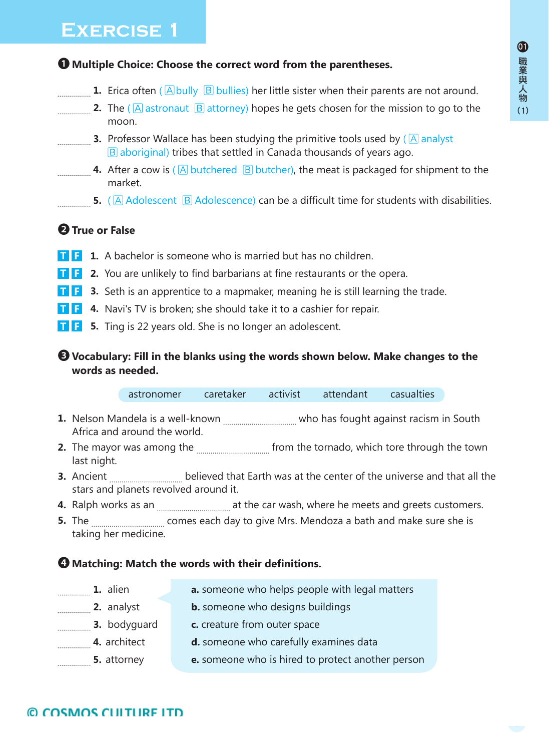### ❶ **Multiple Choice: Choose the correct word from the parentheses.**

- **1.** Erica often (A bully B bullies) her little sister when their parents are not around.
- **2.** The ( A astronaut B attorney) hopes he gets chosen for the mission to go to the moon.
- **3.** Professor Wallace has been studying the primitive tools used by ( A analyst B aboriginal) tribes that settled in Canada thousands of years ago.
- **4.** After a cow is (A butchered B butcher), the meat is packaged for shipment to the market.
- **5.** ( $\overline{A}$  Adolescent  $\overline{B}$  Adolescence) can be a difficult time for students with disabilities.

### ❷ **True or False**

- **T F 1.** A bachelor is someone who is married but has no children.
- **T F 2.** You are unlikely to find barbarians at fine restaurants or the opera.
- **T F 3.** Seth is an apprentice to a mapmaker, meaning he is still learning the trade.
- **T F 4.** Navi's TV is broken; she should take it to a cashier for repair.
- **T F 5.** Ting is 22 years old. She is no longer an adolescent.

### ❸ **Vocabulary: Fill in the blanks using the words shown below. Make changes to the words as needed.**

| astronomer | caretaker | activist | attendant | casualties |
|------------|-----------|----------|-----------|------------|
|            |           |          |           |            |

- **1.** Nelson Mandela is a well-known **Warehouse** who has fought against racism in South Africa and around the world.
- **2.** The mayor was among the *maching the manimum from the tornado*, which tore through the town last night.
- **3.** Ancient  *mush an exerceed that Earth was at the center of the universe and that all the* stars and planets revolved around it.
- **4.** Ralph works as an *..............................***...** at the car wash, where he meets and greets customers.
- **5.** The *macumandom comes each day to give Mrs. Mendoza a bath and make sure she is* taking her medicine.

#### ❹ **Matching: Match the words with their definitions.**

- **1.** alien **a.** someone who helps people with legal matters
- **2.** analyst **b.** someone who designs buildings
- **3.** bodyguard **c.** creature from outer space
- **4.** architect **d.** someone who carefully examines data
- **5.** attorney **e.** someone who is hired to protect another person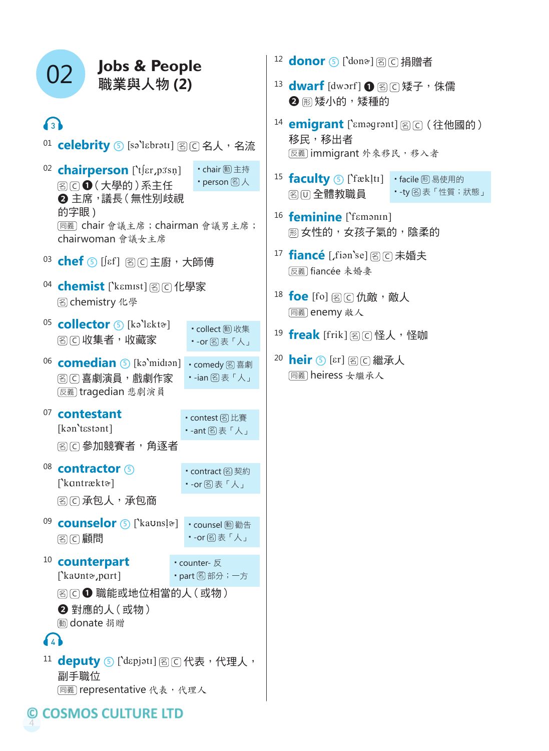### 移民,移出者 02 **Jobs & People** 職業與人物 **(2)** 63 01 celebrity 5 [sa'labrati] 图 C 名人,名流 02 **chairperson** ['tʃɛr,p3sn] 图 © (大學的)系主任 ❷ 主席,議長(無性別歧視 的字眼 ) 同義 chair 會議主席;chairman 會議男主席; chairwoman 會議女主席  $03$  chef **5** [[cf] 图 C 主廚,大師傅 04 **chemist** ['kɛmɪst] 图 C 化學家 <sup>名</sup> chemistry 化學 05 **collector 6** [ka'lekta] <sup>名</sup> C 收集者,收藏家 06 **comedian 5** [kə'midiən] 图 [6] 喜劇演員,戲劇作家 反義 tragedian 悲劇演員 <sup>07</sup>**contestant** [kən'testənt] 图 [6] 參加競賽者, 角逐者 <sup>08</sup>**contractor <sup>5</sup>** ['kantræktø] 图 C 承包人,承包商 <sup>09</sup>**counselor <sup>5</sup>** ['ka7ns9Q] counsel 動 勸告 图 日 顧問 <sup>10</sup>**counterpart** ['kaunto<sub>'</sub>,part] 图 C ❶ 職能或地位相當的人 (或物) ❷ 對應的人(或物) <sup>動</sup> donate 捐贈 **64** 11 **deputy** 5 [`dɛpjətɪ] 图 C 代表,代理人, 副手職位 同義 representative 代表,代理人 chair 動 主持 • person 图人 collect 動 收集 -or 名 表「人」 comedy 名 喜劇 •-ian 图表「人」 contest 名 比賽 -ant 名 表「人」 • contract 图 契約 -or 名 表「人」 -or 名 表「人」 counter- 反 part 名 部分;一方

© COSMOS CULTURE LTD 4

12 **donor** 5 ['dona] 图 [C] 捐贈者

- 13 dwarf [dworf] **1** 图 区 矮子, 侏儒 2 网矮小的,矮種的
- 14 **emigrant** [`ɛməɡrənt] 图 ((往他國的) 反義 immigrant 外來移民,移入者
- $15$  **faculty 6** ['fækltı] 图 回全體教職員 · facile 网易使用的 •-ty 图表「性質;狀態」
- 16 **feminine** ['fɛmənɪn] <sup>形</sup> 女性的,女孩子氣的,陰柔的
- 17 fiancé [,fian'se] 图 C 未婚夫 反義 fiancée 未婚妻
- 18 foe [fo] 图 C 仇敵, 敵人 同義 enemy 敵人
- 19 freak [frik] 图 C 怪人,怪咖
- 20 heir 5 [sr] 图 C 繼承人 同義 heiress 女繼承人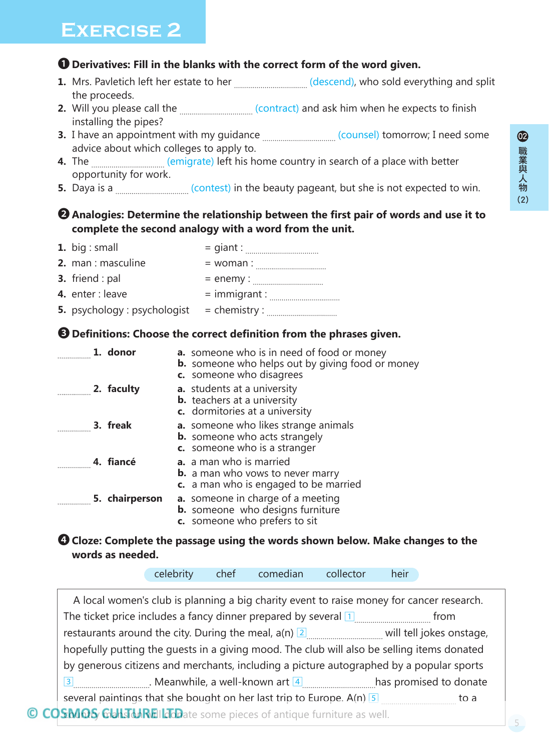# (2) 2 職業與人物

# **Exercise 2**

### ❶ **Derivatives: Fill in the blanks with the correct form of the word given.**

- 1. Mrs. Pavletich left her estate to her *managerama (descend)*, who sold everything and split the proceeds.
- **2.** Will you please call the *manual contract*) and ask him when he expects to finish installing the pipes?
- **3.** I have an appointment with my guidance (counsel) tomorrow; I need some advice about which colleges to apply to.
- **4.** The (emigrate) left his home country in search of a place with better opportunity for work.
- **5.** Daya is a *may contest* in the beauty pageant, but she is not expected to win.

❷ **Analogies: Determine the relationship between the first pair of words and use it to complete the second analogy with a word from the unit.**

| 1. big : small                                    |                                                                                                                                                                                                                                                                           |
|---------------------------------------------------|---------------------------------------------------------------------------------------------------------------------------------------------------------------------------------------------------------------------------------------------------------------------------|
| 2. man : masculine                                | $= woman$ :                                                                                                                                                                                                                                                               |
| <b>3.</b> friend : pal                            | = enemy : $\frac{1}{2}$ = enemy : $\frac{1}{2}$ = enemy : $\frac{1}{2}$ = enemy : $\frac{1}{2}$ = enemy : $\frac{1}{2}$ = enemy : $\frac{1}{2}$ = enemy : $\frac{1}{2}$ = enemy : $\frac{1}{2}$ = enemy : $\frac{1}{2}$ = enemy : $\frac{1}{2}$ = enemy : $\frac{1}{2}$ = |
| 4. enter : leave                                  |                                                                                                                                                                                                                                                                           |
| <b>5.</b> psychology: psychologist $=$ chemistry: |                                                                                                                                                                                                                                                                           |

### ❸ **Definitions: Choose the correct definition from the phrases given.**

| 1. donor                  |                | a. someone who is in need of food or money<br><b>b.</b> someone who helps out by giving food or money<br>c. someone who disagrees |
|---------------------------|----------------|-----------------------------------------------------------------------------------------------------------------------------------|
| <b>Example 2. faculty</b> |                | <b>a.</b> students at a university<br><b>b.</b> teachers at a university<br>c. dormitories at a university                        |
|                           | 3. freak       | a. someone who likes strange animals<br><b>b.</b> someone who acts strangely<br>c. someone who is a stranger                      |
|                           | 4. fiancé      | a. a man who is married<br><b>b.</b> a man who vows to never marry<br>c. a man who is engaged to be married                       |
|                           | 5. chairperson | a. someone in charge of a meeting<br><b>b.</b> someone who designs furniture<br>c. someone who prefers to sit                     |

### $\bullet$  **Cloze: Complete the passage using the words shown below. Make changes to the words as needed.**

celebrity chef comedian collector heir

A local women's club is planning a big charity event to raise money for cancer research. The ticket price includes a fancy dinner prepared by several  $1$   $\ldots$   $\ldots$  from restaurants around the city. During the meal,  $a(n)$   $2$   $\ldots$  will tell jokes onstage, hopefully putting the guests in a giving mood. The club will also be selling items donated by generous citizens and merchants, including a picture autographed by a popular sports 3 . Meanwhile, a well-known art 4 has promised to donate several paintings that she bought on her last trip to Europe.  $A(n)$   $\boxed{5}$  to a **COSMOS GLIST MET LEG** some pieces of antique furniture as well.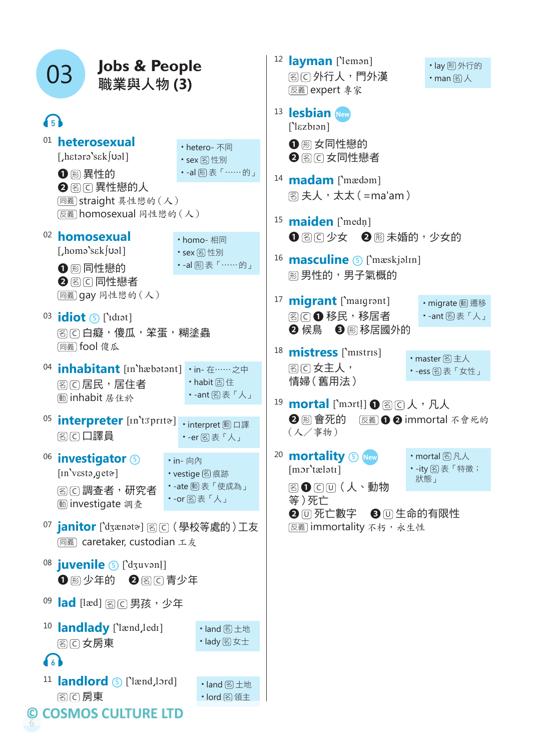| <b>Jobs &amp; People</b><br>03<br>職業與人物(3)                                                                                                                                                                                                                                                                                                                                                                                                                                                                                                                                                                                                                                                                                                                                                                                                                                                                                                                | 12 layman ['lemon]<br>· lay 圈外行的<br>图(C) 外行人,門外漢<br>• man 图人<br>医羲 expert 專家                                                                                                                                                                                                                                                                                                                                                                                                                                                                                                                                                                                                                                    |
|-----------------------------------------------------------------------------------------------------------------------------------------------------------------------------------------------------------------------------------------------------------------------------------------------------------------------------------------------------------------------------------------------------------------------------------------------------------------------------------------------------------------------------------------------------------------------------------------------------------------------------------------------------------------------------------------------------------------------------------------------------------------------------------------------------------------------------------------------------------------------------------------------------------------------------------------------------------|-----------------------------------------------------------------------------------------------------------------------------------------------------------------------------------------------------------------------------------------------------------------------------------------------------------------------------------------------------------------------------------------------------------------------------------------------------------------------------------------------------------------------------------------------------------------------------------------------------------------------------------------------------------------------------------------------------------------|
| 65<br><sup>01</sup> heterosexual<br>• hetero- 不同<br>$[$ hetərə'sek $[$ uəl]<br>· sex  图  性別<br>❶ 圈 異性的<br>2 图 同異性戀的人<br>同義 straight 異性戀的 (人)<br>(反義) homosexual 同性戀的 (人)<br>02 homosexual<br>• homo- 相同<br>[ $homo$ s $\epsilon$ k $[$ uəl]<br>• sex (图) 性別<br>❶ 丽 同性戀的<br>2 图 回 同性戀者<br>同義 gay 同性戀的(人)<br>$03$ idiot $\circ$ [`Idiot]<br><b>图 C 白癡,傻瓜,笨蛋,糊塗蟲</b><br>(同義) fool 傻瓜<br><sup>04</sup> <b>inhabitant</b> [In `hæbatant]<br>· in- 在…… 之中<br>• habit 固住<br><b>图 (c) 居民, 居住者</b><br>•-ant图表「人」<br>[動 inhabit 居住於<br>05<br>interpreter [In \t3prito]<br>• interpret <b></b> □ 口譯<br>图日口譯員<br>· -er 图表「人」<br>06<br>investigator 5<br>• in- 向內<br>[In'vesta, geta]<br>• vestige 图痕跡<br>图 C 調查者, 研究者<br>•-or图表「人」<br><b>動investigate 調査</b><br>07 janitor [`dʒænətə] 图C (學校等處的)工友<br>(同義) caretaker, custodian 工友<br><sup>08</sup> juvenile 5 [`dzuvən!]<br>1 圈少年的 2 图 同青少年<br>09<br>$\overline{\mathsf{lad}}$ [læd] 图 $\overline{\mathsf{c}}$ 男孩,少年 | 13 <b>lesbian</b> New<br>$\lceil$ l $ez$ biən]<br>2 图 区 女同性戀者<br><sup>14</sup> madam ['mædəm]<br>图夫人,太太 ( =ma'am )<br>15 <b>maiden</b> [`medn]<br>1 图 2 少女 2 圈 未婚的, 少女的<br><sup>16</sup> masculine 5 [`mæskjəlm]<br><b>网男性的,男子氣概的</b><br><sup>17</sup> migrant [`maigront]<br>• migrate <b></b> 题卷<br><b>图□❶移民,移居者</b><br>· -ant 图表「人」<br>2 候鳥 3 圈移居國外的<br>18<br>mistress ['mistris]<br>• master 图主人<br>图 C 女主人,<br>· -ess 图表「女性」<br>情婦(舊用法)<br>mortal [`mɔrt!] <b>1</b> 图 [C] 人, 凡人<br>19<br>❷ 劂 會死的<br><b>辰義 ❶ 2 immortal 不會死的</b><br>(人/事物)<br><b>mortality 5 New</b><br>20<br>• mortal 图凡人<br>•-ity 图表 「特徵;<br>[mor'talet]<br>狀態」<br>图 ❶ 回 回 (人、動物<br>等)死亡<br>2 回死亡數字 8 回生命的有限性<br>(反義) immortality 不朽, 永生性 |
| landlady ['lænd, ledr]<br>10<br>· land 图土地<br>·lady图女士<br>$\left\{ \begin{array}{c} 6 \end{array} \right\}$<br><b>landlord</b> 5 ['lænd,lord]<br>11<br>· land 图土地<br>图日房東<br>• lord 图 領主<br><b>COSMOS CULTURE LTD</b>                                                                                                                                                                                                                                                                                                                                                                                                                                                                                                                                                                                                                                                                                                                                     |                                                                                                                                                                                                                                                                                                                                                                                                                                                                                                                                                                                                                                                                                                                 |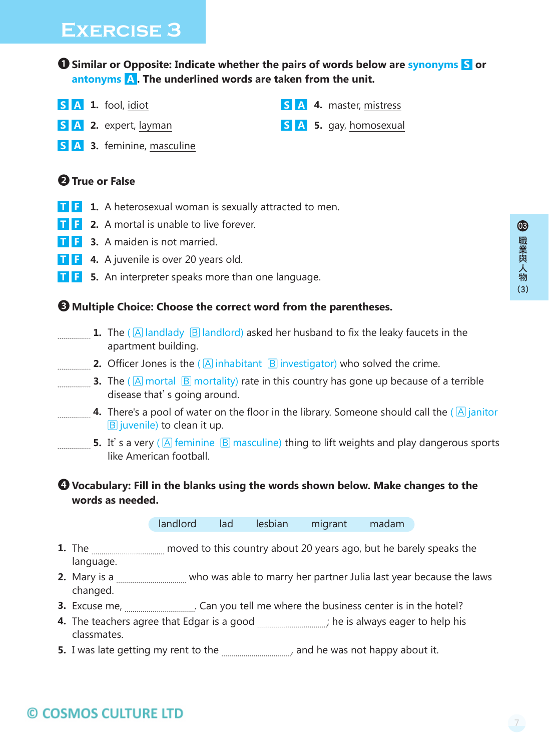## © COSMOS CULTURE LTD

❶ **Similar or Opposite: Indicate whether the pairs of words below are synonyms S or antonyms A . The underlined words are taken from the unit.**

- **S A 1.** fool, idiot
- **S A 2.** expert, layman
- **S A 3.** feminine, masculine

### ❷ **True or False**

- **T F 1.** A heterosexual woman is sexually attracted to men.
- **T F** 2. A mortal is unable to live forever.
- **T F** 3. A maiden is not married.
- **T F 4.** A juvenile is over 20 years old.
- **T F 5.** An interpreter speaks more than one language.

### ❸ **Multiple Choice: Choose the correct word from the parentheses.**

- **1.** The (  $\overline{A}$  landlady  $\overline{B}$  landlord) asked her husband to fix the leaky faucets in the apartment building.
- **2.** Officer Jones is the (A inhabitant B investigator) who solved the crime.
- **3.** The (A mortal B mortality) rate in this country has gone up because of a terrible disease that´s going around.
- **4.** There's a pool of water on the floor in the library. Someone should call the (A janitor  $\boxed{B}$  juvenile) to clean it up.
- **5.** It's a very (A feminine B masculine) thing to lift weights and play dangerous sports like American football.

### ❹ **Vocabulary: Fill in the blanks using the words shown below. Make changes to the words as needed.**

landlord lad lesbian migrant madam

- **1.** The moved to this country about 20 years ago, but he barely speaks the language.
- **2.** Mary is a *may is a we are marry her partner Julia last year because the laws* changed.
- **3.** Excuse me, . Can you tell me where the business center is in the hotel?
- **4.** The teachers agree that Edgar is a good *mand also in the is always eager to help his* classmates.
- **5.** I was late getting my rent to the *managenomances* and he was not happy about it.
- **S A 4.** master, mistress
- **S A 5.** gay, homosexual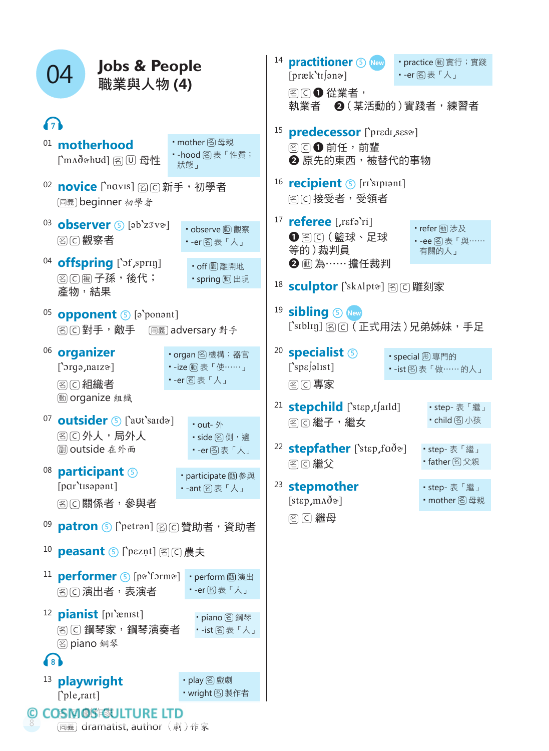| <b>Jobs &amp; People</b><br>職業與人物(4)                                         |                                                      |    | <sup>14</sup> practitioner 5 New<br>$[præk'ti]$ ona]<br>图□ 1 從業者,<br>執業者 2(某活動的)實踐者,練習者      | · practice 1 實行;實踐<br>•-er 图表「人」                     |
|------------------------------------------------------------------------------|------------------------------------------------------|----|----------------------------------------------------------------------------------------------|------------------------------------------------------|
| $\Omega$<br><sup>01</sup> motherhood<br>['mʌd̄ahud] [ [ ] [ ] 母性             | • mother 图母親<br>· -hood 图表「性質;<br>狀態」                |    | <sup>15</sup> predecessor ['pradi, sase]<br>图 ◎ 前任, 前輩<br>2 原先的東西,被替代的事物                     |                                                      |
| 02 novice [`navis] 图C 新手, 初學者<br>同義 beginner 初學者                             |                                                      |    | <sup>16</sup> recipient 5 [ri'sipiont]<br>图 [6] 接受者,受領者                                      |                                                      |
| 03 observer 5 [ab'z3va]<br>图 图 觀察者                                           | • observe <b></b> 動觀察<br>· -er图表「人」                  |    | $17$ referee [ $refs'ri$ ]<br>❶ 图 C (籃球、足球<br>等的)裁判員                                         | • refer 1 涉及<br>•-ee 图表 「與……<br>有關的人」                |
| 04<br>offspring [`of spring]<br>產物,結果                                        | • off <sub></sub> 離開地<br>· spring <b></b> 出現         |    | 2 動為 …… 擔任裁判<br>18 sculptor [`skʌlptə] 图 [ 雕刻家                                               |                                                      |
| 05<br><b>opponent</b> 5 [a ponant]                                           | 图C對手, 敵手 [53] adversary 對手                           |    | <sup>19</sup> sibling 5 New                                                                  |                                                      |
| 06 organizer<br>['orgo,naizo']<br>图 日組織者<br><b>動</b> organize 組織             | • organ 图 機構;器官<br>•-ize <b></b> 意下使……」<br>•-er图表「人」 |    | <sup>20</sup> specialist 5<br>['spɛʃəlɪst]<br>图口專家<br><sup>21</sup> stepchild ['stap,t]aild] | · special 圈專門的<br>•- ist 图表「做 …… 的人」<br>• step- 表「繼」 |
| <sup>07</sup> outsider 5 ['aut'sard&]<br>图 ①外人,局外人<br>圖 outside 在外面          | • out- 外<br>· side 图側,邊<br>· -er图表「人」                |    | <b>图回繼子,繼女</b><br><sup>22</sup> stepfather ['stɛp,faðø]                                      | · child 图小孩<br>· step- 表「繼」                          |
| <sup>08</sup> participant 5<br>[par'tisopont]<br>图 3 關係者,參與者                 | • participate <b></b> 梦與<br>· -ant 图表「人」             | 23 | 图区 繼父<br>stepmother<br>[stɛp,mʌðə]                                                           | • father 图父親<br>· step- 表「繼」<br>• mother 图母親         |
|                                                                              | 09 patron 5 [`petran] 图 [C 贊助者, 資助者                  |    | 到○繼母                                                                                         |                                                      |
| 10<br>peasant 5 [`pɛzn̩t] 图 C 農夫                                             |                                                      |    |                                                                                              |                                                      |
| $11$ performer $\bigcirc$ [p $\circ$ `form $\circ$ ]<br><b>图 (c) 演出者,表演者</b> | • perform 1 演出<br>•-er图表「人」                          |    |                                                                                              |                                                      |
| <sup>12</sup> pianist [pr'ænist]<br>阁 C 鋼琴家, 鋼琴演奏者<br>图 piano 鋼琴             | • piano 图 鋼琴<br>· -ist 图表「人」                         |    |                                                                                              |                                                      |
| <b>f</b> 8                                                                   |                                                      |    |                                                                                              |                                                      |
| 13<br>playwright<br>['ple,rait]                                              | • play 图 戲劇<br>• wright 图 製作者                        |    |                                                                                              |                                                      |
| <b>COSM®S EULTURE LTD</b><br>(C)<br><sub>同義</sub> dramatist, author(劇)作家     |                                                      |    |                                                                                              |                                                      |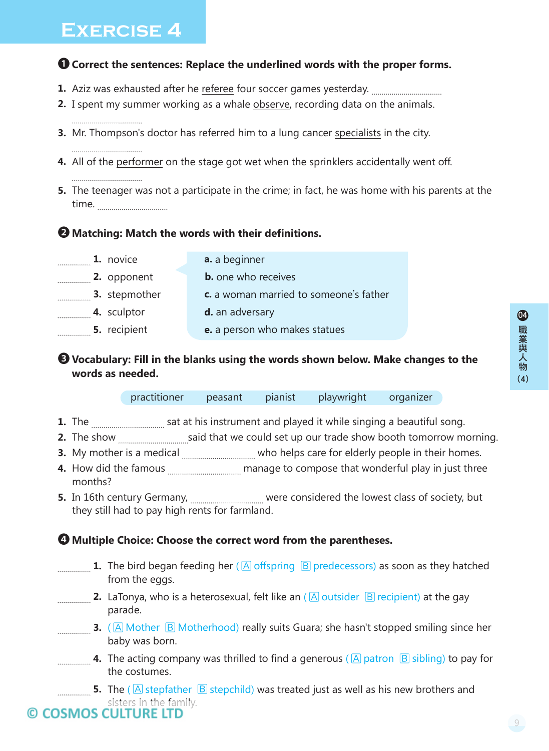### ❶ **Correct the sentences: Replace the underlined words with the proper forms.**

- **1.** Aziz was exhausted after he referee four soccer games yesterday.
- **2.** I spent my summer working as a whale observe, recording data on the animals.
- **3.** Mr. Thompson's doctor has referred him to a lung cancer specialists in the city.
- **4.** All of the performer on the stage got wet when the sprinklers accidentally went off.
- **5.** The teenager was not a participate in the crime; in fact, he was home with his parents at the time.

### ❷ **Matching: Match the words with their definitions.**

**1.** novice **a.** a beginner **2.** opponent **b.** one who receives **3.** stepmother **c.** a woman married to someone's father **4.** sculptor **d.** an adversary **5.** recipient **e.** a person who makes statues

### ❸ **Vocabulary: Fill in the blanks using the words shown below. Make changes to the words as needed.**

practitioner peasant pianist playwright organizer

- **1.** The *manumandom sat at his instrument and played it while singing a beautiful song.*
- **2.** The show said that we could set up our trade show booth tomorrow morning.
- **3.** My mother is a medical *manual manual who helps care for elderly people in their homes.*
- **4.** How did the famous *manage to compose that wonderful play in just three* months?
- **5.** In 16th century Germany, *machodom were considered the lowest class of society***, but** they still had to pay high rents for farmland.

### ❹ **Multiple Choice: Choose the correct word from the parentheses.**

- **1.** The bird began feeding her (A offspring B predecessors) as soon as they hatched from the eggs.
- **2.** LaTonya, who is a heterosexual, felt like an (  $\overline{A}$  outsider  $\overline{B}$  recipient) at the gay parade.
- **3.** (  $\overline{A}$  Mother  $\overline{B}$  Motherhood) really suits Guara; she hasn't stopped smiling since her baby was born.
- **4.** The acting company was thrilled to find a generous ( A patron B sibling) to pay for the costumes.

**5.** The (A stepfather B stepchild) was treated just as well as his new brothers and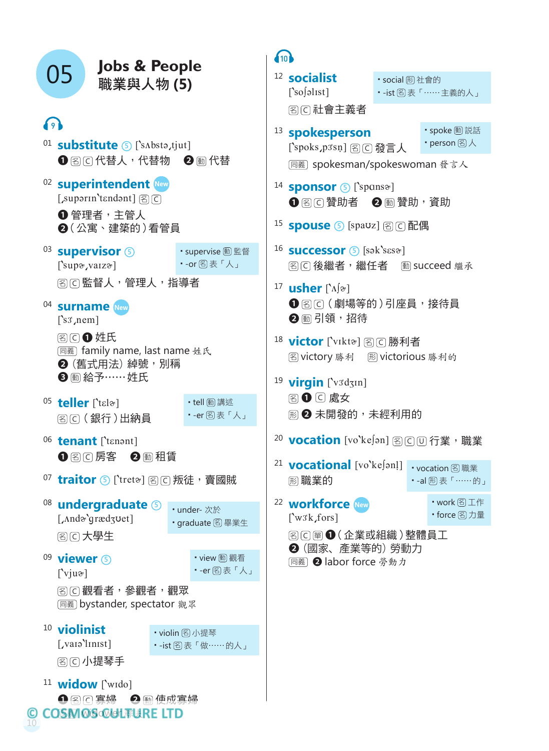| <b>Jobs &amp; People</b>                                                                                                                       | $\left(10\right)$                                                                                                                    |  |  |
|------------------------------------------------------------------------------------------------------------------------------------------------|--------------------------------------------------------------------------------------------------------------------------------------|--|--|
| 05<br>職業與人物(5)                                                                                                                                 | <sup>12</sup> socialist<br>· social Ha社會的<br>$\lceil$ 'sosolist]<br>· - ist 图表「……主義的人」<br>图 [6] 社會主義者                                |  |  |
| $\left( \circ \right)$<br><sup>01</sup> substitute 5 [`sAbsta,tjut]                                                                            | • spoke <b></b> 動説話<br><sup>13</sup> spokesperson<br>• person 图人<br>['spoks,p3'sn] 图 [C] 發言人<br>同義 spokesman/spokeswoman 發言人         |  |  |
| 02 superintendent New<br>[suparin 'tendant] $\mathbb{E}[\mathbb{C}]$<br>❶ 管理者,主管人<br>2(公寓、建築的)看管員                                              | $14$ sponsor $\left( \right)$ ['spans $\circ$ ]<br><b>1</b> 图 [6] 贊助者 2 [6] 贊助, 資助<br><sup>15</sup> spouse 5 [spaʊz] 图 图 配偶          |  |  |
| <sup>03</sup> supervisor <b>⑤</b><br>• supervise <b></b> ■ 監督<br>· -or 图表「人」<br>['supa <sub>r</sub> varza]<br>图 回 監督人, 管理人, 指導者                | $16$ successor $(5)$ [sək`s $ess$ ]<br>图C後繼者,繼任者 動 succeed 繼承                                                                        |  |  |
| 04<br><b>Surname</b> New<br>$\lceil$ 's3', nem]                                                                                                | $17$ usher $[\lambda]_{\otimes}]$<br><b>1</b> 图 (C) (劇場等的)引座員,接待員<br>2 1 引領,招待                                                       |  |  |
| 图C 1 姓氏<br>同義 family name, last name 姓氏<br>2 (舊式用法) 綽號,別稱<br>8 動給予……姓氏                                                                         | 18 victor ['vɪktə] 图 [ 勝利者<br>图 victory 勝利 圈 victorious 勝利的<br><sup>19</sup> virgin ['v3d3In]                                        |  |  |
| $05$ teller ['tɛl $\alpha$ ]<br>• tell <b></b> 颤講述<br>•-er图表「人」<br>图回 (銀行)出納員                                                                  | 图❶□處女<br><b>图 2 未開發的,未經利用的</b>                                                                                                       |  |  |
| 06 tenant ['tɛnənt]                                                                                                                            | 20 vocation [vo'kesan] 图 回 行業, 職業<br><sup>21</sup> <b>vocational</b> [vo'ke]an]]                                                     |  |  |
| 07 traitor 5 ['treta] 图 [C] 叛徒,賣國賊                                                                                                             | • vocation 8 職業<br><b>图 職業的</b>                                                                                                      |  |  |
| <sup>08</sup> undergraduate 5<br>• under- 次於<br>[Anda grædzuet]<br>• graduate 8 畢業生<br>图 ( ) 大學生                                               | • work 图工作<br><sup>22</sup> workforce New<br>• force 图力量<br>$\lceil \forall w \hat{x} \cdot \hat{x} \rangle$<br>图 ◎ 圖 ❶ (企業或組織) 整體員工 |  |  |
| <sup>09</sup> viewer (5)<br>• view <b></b> 觀看<br>· -er 图表「人」<br>$[\text{v}j\text{u}\infty]$<br> 图 ○ 觀看者,參觀者,觀眾<br>(同義) bystander, spectator 觀眾 | ❷ (國家、產業等的) 勞動力<br>同義 2 labor force 勞動力                                                                                              |  |  |
| <sup>10</sup> violinist<br>• violin 8小提琴<br>$\lceil$ varə $\text{N}$<br>•- ist 图表「做 …… 的人」<br>图 ○小提琴手                                          |                                                                                                                                      |  |  |
| <sup>11</sup> <b>widow</b> ['wido]<br>❶图图真婦<br>2 11 使成寡婦<br><b>COSM 06 toddi TRURE LTD</b><br>10                                               |                                                                                                                                      |  |  |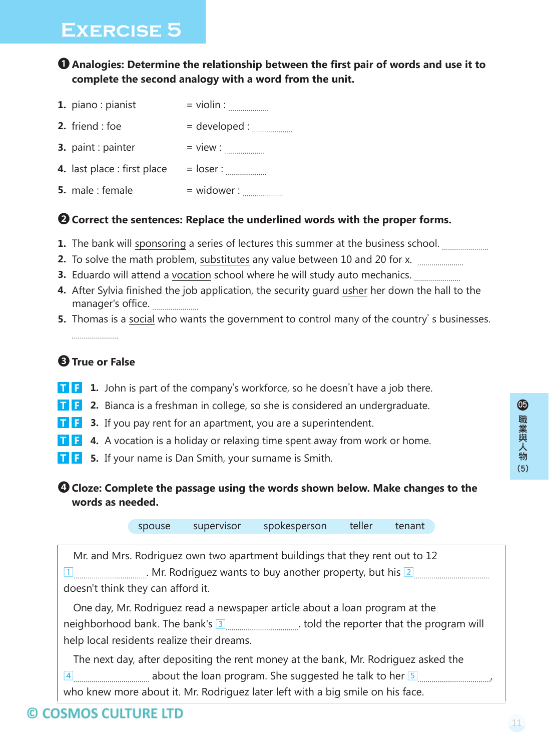### ❶ **Analogies: Determine the relationship between the first pair of words and use it to complete the second analogy with a word from the unit.**

| 1. piano : pianist          | $=$ violin : $\ldots$ |
|-----------------------------|-----------------------|
| 2. friend : foe             | $=$ developed :       |
| 3. paint : painter          |                       |
| 4. last place : first place |                       |
| 5. male: female             |                       |
|                             |                       |

### ❷ **Correct the sentences: Replace the underlined words with the proper forms.**

- **1.** The bank will sponsoring a series of lectures this summer at the business school.
- **2.** To solve the math problem, substitutes any value between 10 and 20 for x. **multimental**
- **3.** Eduardo will attend a vocation school where he will study auto mechanics.
- **4.** After Sylvia finished the job application, the security guard usher her down the hall to the manager's office.
- **5.** Thomas is a social who wants the government to control many of the country's businesses.

### ❸ **True or False**

- **T F 1.** John is part of the company's workforce, so he doesn't have a job there.
- **T F 2.** Bianca is a freshman in college, so she is considered an undergraduate.
- **T F 3.** If you pay rent for an apartment, you are a superintendent.
- **T F 4.** A vocation is a holiday or relaxing time spent away from work or home.
- **T F 5.** If your name is Dan Smith, your surname is Smith.

### $\bullet$  **Cloze: Complete the passage using the words shown below. Make changes to the words as needed.**

spouse supervisor spokesperson teller tenant

Mr. and Mrs. Rodriguez own two apartment buildings that they rent out to 12 1 . Mr. Rodriguez wants to buy another property, but his 2 doesn't think they can afford it. One day, Mr. Rodriguez read a newspaper article about a loan program at the neighborhood bank. The bank's  $3$   $\ldots$   $\ldots$   $\ldots$  told the reporter that the program will help local residents realize their dreams. The next day, after depositing the rent money at the bank, Mr. Rodriguez asked the 4 about the loan program. She suggested he talk to her 5 , who knew more about it. Mr. Rodriguez later left with a big smile on his face.

### © COSMOS CULTURE LTD

(5)

65 職業與人物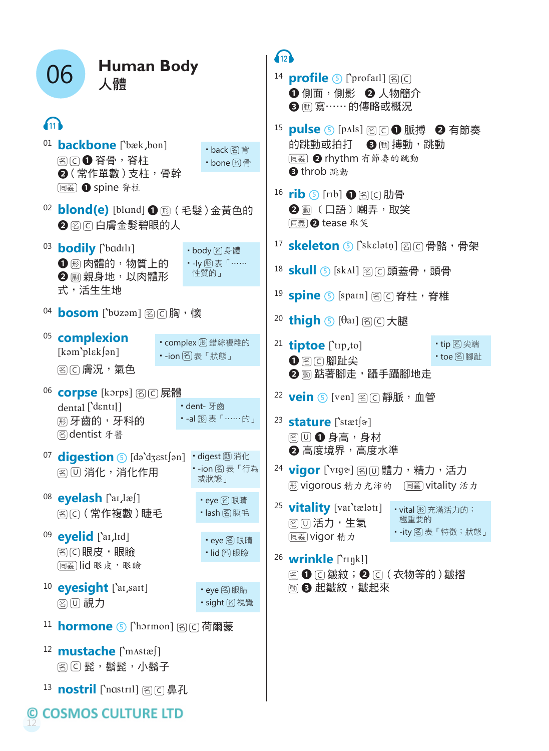| <b>Human Body</b>                                                             |                                   | $\binom{1}{2}$                                                                                                                   |
|-------------------------------------------------------------------------------|-----------------------------------|----------------------------------------------------------------------------------------------------------------------------------|
| 人體                                                                            |                                   | <sup>14</sup> <b>profile</b> 5 [`profail] $\mathbb{Z}$ $\subset$<br>$\bigcirc$ 側面,側影 $\bigcirc$ 人物簡介<br>❸ <sub>1</sub> 氯……的傳略或概況 |
| $\left(11\right)$                                                             |                                   | <sup>15</sup> pulse 5 [pʌls] 图□ <b>0</b> 脈搏 ● 有節奏                                                                                |
| <sup>01</sup> <b>backbone</b> ['bæk,bon]<br>800 奇骨,脊柱<br><b>2</b> (常作單數)支柱,骨幹 | · back 图背<br>• bone 图骨            | 的跳動或拍打<br><b>同義 2 rhythm 有節奏的跳動</b><br><b>B</b> throb 跳動                                                                         |
| <b>同義 ❶ spine 脊柱</b>                                                          |                                   | <sup>16</sup> rib ⑤ [rɪb] ❶ 图 © 肋骨                                                                                               |
| 2 图 回白膚金髮碧眼的人                                                                 |                                   | 2 11 (口語) 嘲弄,取笑<br><b>同義 2</b> tease 取笑                                                                                          |
| 03 <b>bodily</b> ['badılı]                                                    | • body 图身體                        | <sup>17</sup> skeleton 5 ['skɛlətn̩] 图 [C] 骨骼, 骨架                                                                                |
| <b>1</b> 圈肉體的,物質上的<br>2 副親身地,以肉體形                                             | 性質的」                              | 18 skull ⑤ [skʌl] 图 <b>① 頭蓋骨,頭骨</b>                                                                                              |
| 式,活生生地                                                                        |                                   | <sup>19</sup> spine ⑤ [spaɪn] ②ⓒ 脊柱,脊椎                                                                                           |
| 04 <b>bosom</b> [`buzəm] ② C 胸,懷                                              |                                   | $20$ thigh 5 [ $\theta$ aɪ] 图 $\textcircled{r}$ 大腿                                                                               |
| 05 complexion<br>[kom'plek[on]                                                | · complex ® 錯綜複雜的<br>•-ion 图表「狀態」 | · tip 图尖端<br><sup>21</sup> tiptoe ['tɪp,to]<br>• toe 8 腳趾<br>❶ 图 C 腳趾尖                                                           |
| <b>图 (c) 膚況,氣色</b>                                                            |                                   | 2 1 脑蓝著腳走, 躡手躡腳地走                                                                                                                |
| 06 corpse [korps] 图 区 屍體                                                      |                                   |                                                                                                                                  |
| dental ['dɛntɪ]]                                                              | · dent- 牙齒<br>•-al 圈表 「……的」       |                                                                                                                                  |
| 网牙齒的,牙科的<br>图 dentist 牙醫                                                      |                                   | 23 <b>stature</b> ['stæt] <sup>8</sup> ]<br>图回 ❶ 身高,身材                                                                           |
| <sup>07</sup> digestion 5 [də`dzest∫ən]                                       | · digest 1到消化                     | ❷ 高度境界,高度水準                                                                                                                      |
| 图 回 消化,消化作用                                                                   | •-ion 图表「行為<br>或狀態」               | 图 vigorous 精力充沛的 同義 vitality 活力                                                                                                  |
| <sup>08</sup> eyelash [`ar, læs]                                              | · eye 图眼睛                         |                                                                                                                                  |
| 图回(常作複數)睫毛                                                                    | ・lash 图 睫毛                        | <sup>25</sup> vitality [var tælatı]<br>· vital  图 充滿活力的;<br>極重要的<br><b>阁问活力,生氣</b>                                               |
| 09 eyelid ['ar, Ird]                                                          | · eye 图眼睛                         | •-ity 图表「特徵;狀態」<br>同義 vigor 精力                                                                                                   |
| <b>图问眼皮,眼瞼</b>                                                                | · lid 图眼瞼                         | <sup>26</sup> wrinkle [`rɪŋk!]                                                                                                   |
| 同義 lid 眼皮,眼瞼                                                                  |                                   | 图 ❶ ⓒ 皺紋;❷ ⓒ ( 衣物等的 ) 皺摺                                                                                                         |
| <sup>10</sup> eyesight [`ar,sart]                                             | · eye 图眼睛                         | <b>[動 3 起皺紋, 皺起來</b>                                                                                                             |
| 图 3 視力                                                                        | · sight 3 視覺                      |                                                                                                                                  |
| hormone 5 ['hormon] 图 C 荷爾蒙<br>11                                             |                                   |                                                                                                                                  |
| <sup>12</sup> mustache [`mAstæʃ]<br><b>图回髭,鬍髭,小鬍子</b>                         |                                   |                                                                                                                                  |
| <sup>13</sup> nostril [`nastril] 图回鼻孔                                         |                                   |                                                                                                                                  |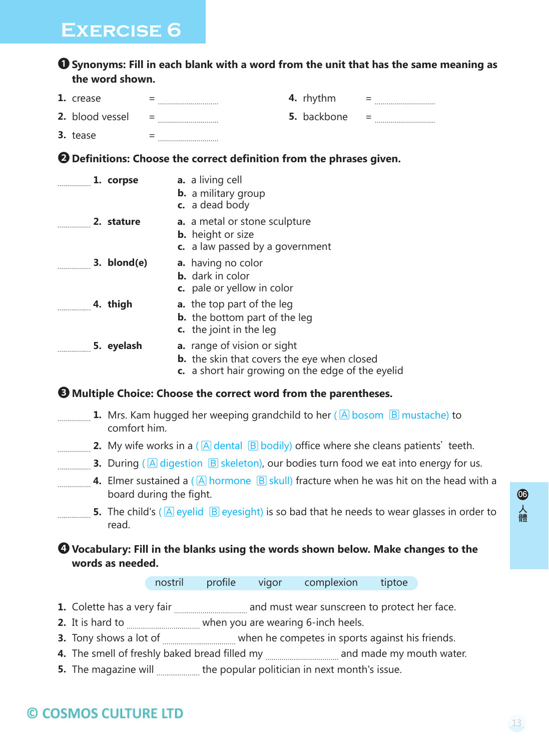❶ **Synonyms: Fill in each blank with a word from the unit that has the same meaning as the word shown.**

| <b>1.</b> crease       | $\qquad \qquad$<br>-<br>             | 4. rhythm              | - =<br>                       |
|------------------------|--------------------------------------|------------------------|-------------------------------|
| <b>2.</b> blood vessel | $\sim$ $\sim$ $\sim$<br>             | <b>5.</b> backbone $=$ | ----------------------------- |
| <b>3.</b> tease        | $=$<br>----------------------------- |                        |                               |

❷ **Definitions: Choose the correct definition from the phrases given.**

| 1. corpse                  | a. a living cell<br><b>b.</b> a military group<br>c. a dead body                                                                              |
|----------------------------|-----------------------------------------------------------------------------------------------------------------------------------------------|
| $2.$ stature               | <b>a.</b> a metal or stone sculpture<br><b>b.</b> height or size<br>c. a law passed by a government                                           |
| $\sim$ 3. blond(e)         | <b>a.</b> having no color<br><b>b.</b> dark in color<br>c. pale or yellow in color                                                            |
| 4. thigh                   | a. the top part of the leg<br><b>b.</b> the bottom part of the leg<br>c. the joint in the leg                                                 |
| <b>Example 13. eyelash</b> | <b>a.</b> range of vision or sight<br><b>b.</b> the skin that covers the eye when closed<br>c. a short hair growing on the edge of the eyelid |

### ❸ **Multiple Choice: Choose the correct word from the parentheses.**

- **1.** Mrs. Kam hugged her weeping grandchild to her ( A bosom B mustache) to comfort him.
- **2.** My wife works in a (A dental B bodily) office where she cleans patients' teeth.
- **3.** During (  $\overline{A}$  digestion  $\overline{B}$  skeleton), our bodies turn food we eat into energy for us.
- **4.** Elmer sustained a ( A hormone B skull) fracture when he was hit on the head with a board during the fight.
- **5.** The child's (A eyelid B eyesight) is so bad that he needs to wear glasses in order to read.

### ❹ **Vocabulary: Fill in the blanks using the words shown below. Make changes to the words as needed.**

| nostril<br>profile<br>complexion<br>vigor | tiptoe |
|-------------------------------------------|--------|
|-------------------------------------------|--------|

- 1. Colette has a very fair *machodinacional must wear sunscreen to protect her face.*
- 2. It is hard to *mach accoreum when you are wearing 6-inch heels*.
- **3.** Tony shows a lot of when he competes in sports against his friends.
- **4.** The smell of freshly baked bread filled my *manuarram manumener* and made my mouth water.
- **5.** The magazine will **the popular politician in next month's issue.**

## © COSMOS CULTURE LTD

6 人體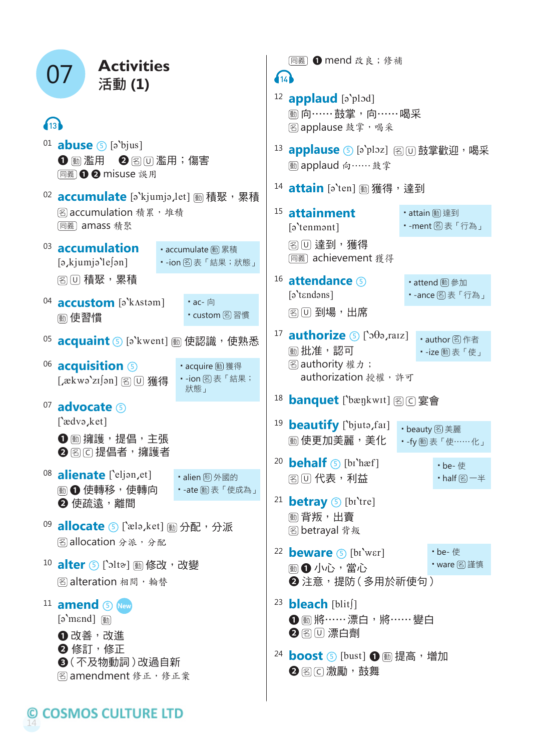| <b>Activities</b><br>0/<br>活動 (1)                                                                                  |                                               | <b>同義</b> ❶ mend 改良; 修補<br>$\binom{1}{4}$<br><sup>12</sup> applaud [a`plod]                                                                                                                                           |
|--------------------------------------------------------------------------------------------------------------------|-----------------------------------------------|-----------------------------------------------------------------------------------------------------------------------------------------------------------------------------------------------------------------------|
| 13<br>$01$ abuse $\odot$ [a`bjus]<br>❶ <b></b> 颤 濫用   ❷ 图 回 濫用; 傷害                                                 |                                               | <sub>[動</sub> 向……鼓掌,向……喝采<br>图 applause 鼓掌,喝采<br><sup>13</sup> applause 5 [ə`plɔz] 图回鼓掌歡迎,喝采<br><b>[</b> tm] applaud 向 …… 鼓掌                                                                                          |
| <b>同義 ❶ ❷ misuse 誤用</b><br>02 accumulate [ə`kjumjə,let] <sub>1</sub> 積聚,累積<br>图 accumulation 積累, 堆積<br>同義 amass 積聚 |                                               | <sup>14</sup> attain [ə`ten] <sub>[</sub> 動獲得,達到<br><sup>15</sup> attainment<br>• attain <b></b> 遭建到<br>•- ment 图表「行為」<br>$\lceil$ o'tenmont]                                                                         |
| <sup>03</sup> accumulation<br>[ə, kjumja'le[ən]<br><b>图</b> [0] 積聚,累積                                              | ·-ion 图表「結果;狀態」                               | <b>图</b> 達到,獲得<br>[同義] achievement 獲得<br><sup>16</sup> attendance <b>5</b><br>• attend <b></b> 参加                                                                                                                     |
| 04 <b>accustom</b> [a`kAstam]<br><b>勔 使習慣</b>                                                                      | • ac- 向<br>• custom 图 習慣                      | $\lceil \text{a}'\text{tendons} \rceil$<br>· -ance 图表「行為」<br><b>阁</b> 可到場,出席                                                                                                                                          |
| 05 acquaint 5 [a`kwent] 1 使認識, 使熟悉<br><sup>06</sup> acquisition 5<br>[,ækwə`zıʃən] [ <sub>2]</sub> [U] 獲得          | • acquire <b></b> 鹰獲得<br>· -ion 图表「結果;<br>狀態」 | <sup>17</sup> <b>authorize</b> $\left[\int_0^1 f(x) \, dx\right]$<br>• author 图作者<br><b><sub>45</sub> 批准,認可</b><br>· -ize <b></b> 数下使」<br>图 authority 權力;<br>authorization 授權, 許可<br>18<br>banquet [`bæn̯kwɪt] 图 C 宴會 |
| <sup>07</sup> advocate (5)<br>[`ædvə,ket]<br>❶ <sub>(b)</sub> 擁護, 提倡, 主張<br>280 提倡者,擁護者                            |                                               | <sup>19</sup> <b>beautify</b> ['bjuto, far]<br>• beauty 图美麗<br><b>勔 使更加美麗,美化</b><br><sup>20</sup> <b>behalf</b> $\circ$ [br `hæf]<br>• be- 使                                                                          |
| 08 <b>alienate</b> ['eljan, et]<br><sub>[動</sub> ❶ 使轉移,使轉向<br>2 使疏遠,離間<br>09 allocate 5 ['æla,ket] 1 分配,分派         | • alien 图外國的                                  | <b>图</b> [U] 代表,利益<br>$\cdot$ half $\circledS - \circledast$<br>$21$ betray $\circ$ [br tre]<br><b>勔背叛,出賣</b><br>图 betrayal 背叛                                                                                        |
| 图 allocation 分派,分配<br>10 alter (5 [`oltad] <sub>1</sub> 修改, 改變<br>图 alteration 相間, 輪替                              |                                               | $22$ beware (5) [bi'wer]<br>• be- 使<br>• ware 图 謹慎<br><b>動</b> 1小心,當心<br>❷注意,提防(多用於祈使句)                                                                                                                               |
| <sup>11</sup> amend 5 New<br>$[\mathfrak{d}$ mend] [動]<br>❶改善,改進<br>❷ 修訂,修正<br>❸(不及物動詞)改過自新<br>图 amendment 修正, 修正案 |                                               | $23$ bleach [blit]<br>2 图 5 漂白劑<br>❷ 图 © 激勵,鼓舞                                                                                                                                                                        |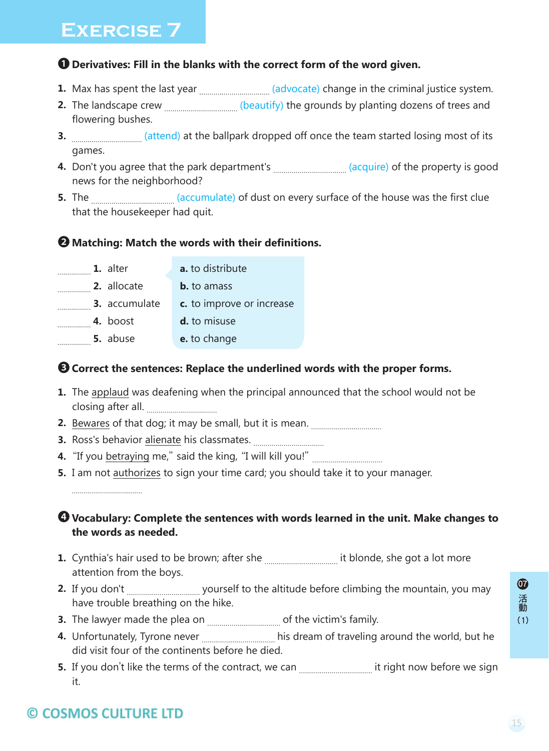### ❶ **Derivatives: Fill in the blanks with the correct form of the word given.**

- 1. Max has spent the last year *manual advocate* change in the criminal justice system.
- **2.** The landscape crew (beautify) the grounds by planting dozens of trees and flowering bushes.
- **3.** (attend) at the ballpark dropped off once the team started losing most of its games.
- **4.** Don't you agree that the park department's *managerana managerality* of the property is good news for the neighborhood?
- **5.** The (accumulate) of dust on every surface of the house was the first clue that the housekeeper had quit.

### ❷ **Matching: Match the words with their definitions.**

- **1.** alter **a.** to distribute
- **2.** allocate **b.** to amass
- **3.** accumulate **c.** to improve or increase
- **4.** boost **d.** to misuse
- **5.** abuse **e.** to change

### ❸ **Correct the sentences: Replace the underlined words with the proper forms.**

- **1.** The applaud was deafening when the principal announced that the school would not be closing after all.
- **2.** Bewares of that dog; it may be small, but it is mean.
- **3.** Ross's behavior alienate his classmates.
- **4.** "If you betraying me," said the king, "I will kill you!"
- **5.** I am not authorizes to sign your time card; you should take it to your manager.

### ❹ **Vocabulary: Complete the sentences with words learned in the unit. Make changes to the words as needed.**

- **1.** Cynthia's hair used to be brown; after she **she we can compute** it blonde, she got a lot more attention from the boys.
- **2.** If you don't *may represent to the altitude before climbing the mountain, you may* have trouble breathing on the hike.
- **3.** The lawyer made the plea on *maching manimum* of the victim's family.
- 4. Unfortunately, Tyrone never *machood machina in set aream* of traveling around the world, but he did visit four of the continents before he died.
- **5.** If you don´t like the terms of the contract, we can it right now before we sign it.

### $\boldsymbol{\sigma}$ 活動 (1)